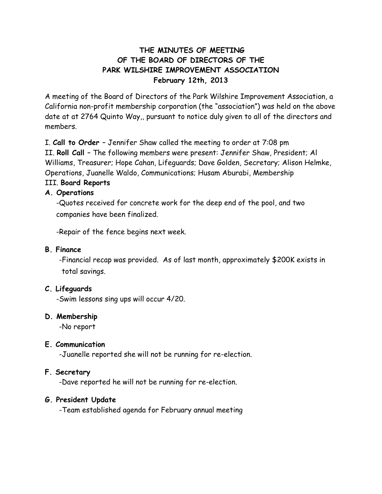# **THE MINUTES OF MEETING OF THE BOARD OF DIRECTORS OF THE PARK WILSHIRE IMPROVEMENT ASSOCIATION February 12th, 2013**

A meeting of the Board of Directors of the Park Wilshire Improvement Association, a California non-profit membership corporation (the "association") was held on the above date at at 2764 Quinto Way,, pursuant to notice duly given to all of the directors and members.

I. **Call to Order** – Jennifer Shaw called the meeting to order at 7:08 pm II. **Roll Call** – The following members were present: Jennifer Shaw, President; Al Williams, Treasurer; Hope Cahan, Lifeguards; Dave Golden, Secretary; Alison Helmke, Operations, Juanelle Waldo, Communications; Husam Aburabi, Membership III. **Board Reports**

### **A. Operations**

-Quotes received for concrete work for the deep end of the pool, and two companies have been finalized.

-Repair of the fence begins next week.

### **B. Finance**

-Financial recap was provided. As of last month, approximately \$200K exists in total savings.

# **C. Lifeguards**

-Swim lessons sing ups will occur 4/20.

#### **D. Membership**

-No report

# **E. Communication**

-Juanelle reported she will not be running for re-election.

#### **F. Secretary**

-Dave reported he will not be running for re-election.

# **G. President Update**

-Team established agenda for February annual meeting